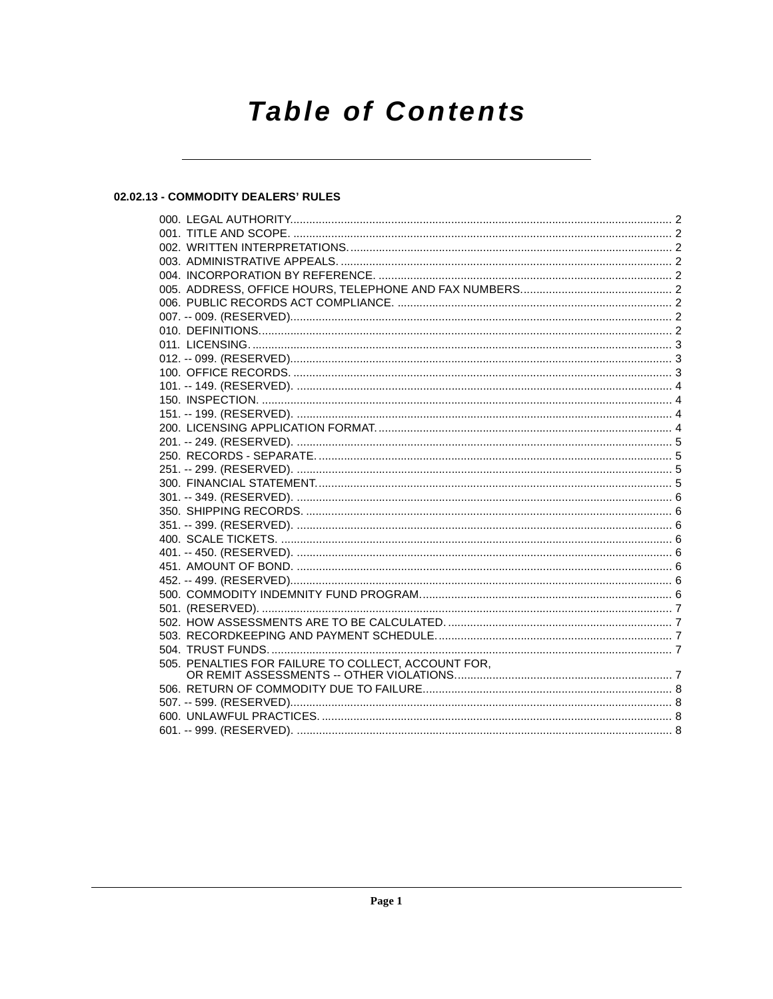# **Table of Contents**

## 02.02.13 - COMMODITY DEALERS' RULES

| 505. PENALTIES FOR FAILURE TO COLLECT, ACCOUNT FOR, |  |
|-----------------------------------------------------|--|
|                                                     |  |
|                                                     |  |
|                                                     |  |
|                                                     |  |
|                                                     |  |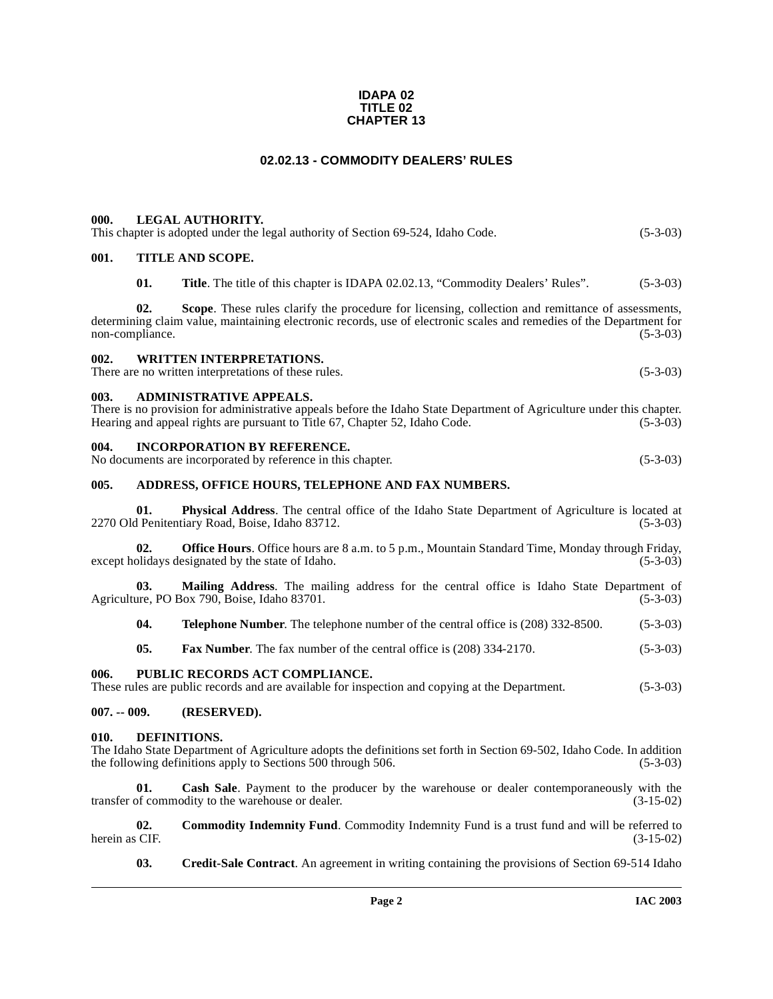#### **IDAPA 02 TITLE 02 CHAPTER 13**

## **02.02.13 - COMMODITY DEALERS' RULES**

<span id="page-1-1"></span><span id="page-1-0"></span>

| 000. | LEGAL AUTHORITY. |
|------|------------------|
|      |                  |

<span id="page-1-4"></span><span id="page-1-3"></span><span id="page-1-2"></span>

|                                                                                                                                                                                                                                                              | This chapter is adopted under the legal authority of Section 69-524, Idaho Code.<br>$(5-3-03)$ |                                                                                                                                                                                                                                  |            |  |  |
|--------------------------------------------------------------------------------------------------------------------------------------------------------------------------------------------------------------------------------------------------------------|------------------------------------------------------------------------------------------------|----------------------------------------------------------------------------------------------------------------------------------------------------------------------------------------------------------------------------------|------------|--|--|
| 001.                                                                                                                                                                                                                                                         |                                                                                                | <b>TITLE AND SCOPE.</b>                                                                                                                                                                                                          |            |  |  |
|                                                                                                                                                                                                                                                              | 01.                                                                                            | <b>Title.</b> The title of this chapter is IDAPA 02.02.13, "Commodity Dealers' Rules".                                                                                                                                           | $(5-3-03)$ |  |  |
|                                                                                                                                                                                                                                                              | 02.<br>non-compliance.                                                                         | <b>Scope.</b> These rules clarify the procedure for licensing, collection and remittance of assessments,<br>determining claim value, maintaining electronic records, use of electronic scales and remedies of the Department for | $(5-3-03)$ |  |  |
| 002.                                                                                                                                                                                                                                                         |                                                                                                | <b>WRITTEN INTERPRETATIONS.</b><br>There are no written interpretations of these rules.                                                                                                                                          | $(5-3-03)$ |  |  |
| <b>ADMINISTRATIVE APPEALS.</b><br>003.<br>There is no provision for administrative appeals before the Idaho State Department of Agriculture under this chapter.<br>Hearing and appeal rights are pursuant to Title 67, Chapter 52, Idaho Code.<br>$(5-3-03)$ |                                                                                                |                                                                                                                                                                                                                                  |            |  |  |
| <b>INCORPORATION BY REFERENCE.</b><br>004.<br>No documents are incorporated by reference in this chapter.<br>$(5-3-03)$                                                                                                                                      |                                                                                                |                                                                                                                                                                                                                                  |            |  |  |
| 005.                                                                                                                                                                                                                                                         |                                                                                                | ADDRESS, OFFICE HOURS, TELEPHONE AND FAX NUMBERS.                                                                                                                                                                                |            |  |  |
|                                                                                                                                                                                                                                                              | 01.                                                                                            | <b>Physical Address.</b> The central office of the Idaho State Department of Agriculture is located at<br>2270 Old Penitentiary Road, Boise, Idaho 83712.                                                                        | $(5-3-03)$ |  |  |
|                                                                                                                                                                                                                                                              | 02.                                                                                            | <b>Office Hours.</b> Office hours are 8 a.m. to 5 p.m., Mountain Standard Time, Monday through Friday,<br>except holidays designated by the state of Idaho.                                                                      | $(5-3-03)$ |  |  |

<span id="page-1-6"></span><span id="page-1-5"></span>**03. Mailing Address**. The mailing address for the central office is Idaho State Department of Agriculture, PO Box 790, Boise, Idaho 83701. (5-3-03)

**04. Telephone Number**. The telephone number of the central office is (208) 332-8500. (5-3-03)

**05. Fax Number**. The fax number of the central office is (208) 334-2170. (5-3-03)

#### <span id="page-1-7"></span>**006. PUBLIC RECORDS ACT COMPLIANCE.**

These rules are public records and are available for inspection and copying at the Department. (5-3-03)

<span id="page-1-8"></span>**007. -- 009. (RESERVED).**

#### <span id="page-1-10"></span><span id="page-1-9"></span>**010. DEFINITIONS.**

The Idaho State Department of Agriculture adopts the definitions set forth in Section 69-502, Idaho Code. In addition the following definitions apply to Sections 500 through 506.

**01.** Cash Sale. Payment to the producer by the warehouse or dealer contemporaneously with the of commodity to the warehouse or dealer.  $(3-15-02)$ transfer of commodity to the warehouse or dealer.

**02. Commodity Indemnity Fund**. Commodity Indemnity Fund is a trust fund and will be referred to (3-15-02) herein as CIF.

**03. Credit-Sale Contract**. An agreement in writing containing the provisions of Section 69-514 Idaho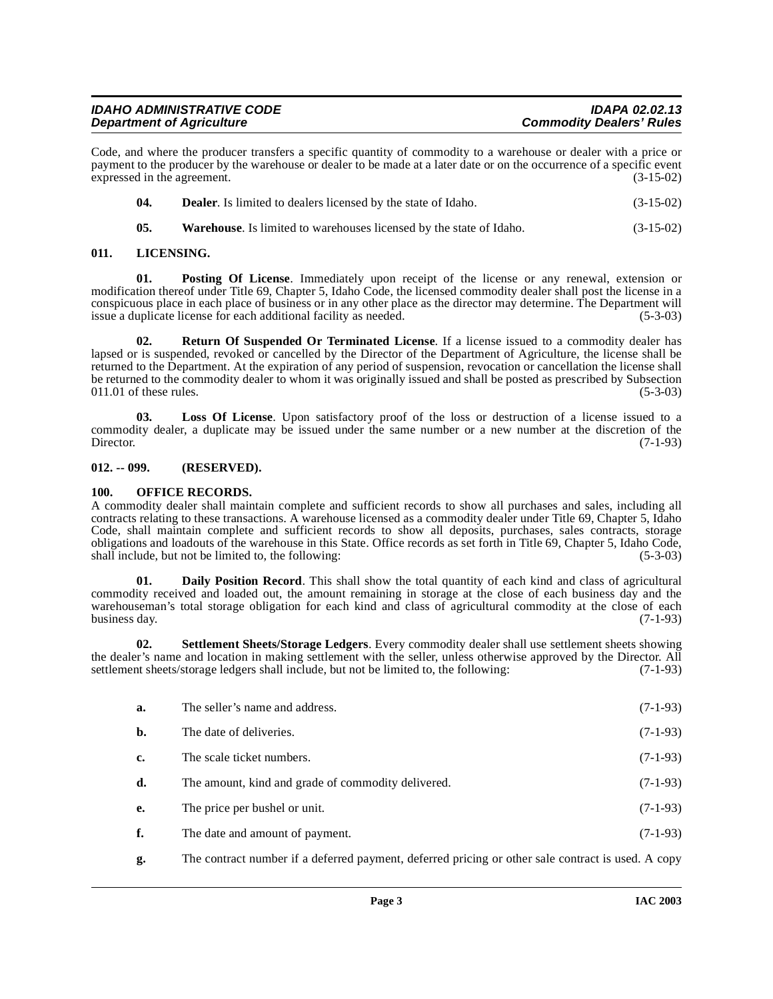| <b>IDAHO ADMINISTRATIVE CODE</b> | <b>IDAPA 02.02.13</b>           |
|----------------------------------|---------------------------------|
| <b>Department of Agriculture</b> | <b>Commodity Dealers' Rules</b> |

Code, and where the producer transfers a specific quantity of commodity to a warehouse or dealer with a price or payment to the producer by the warehouse or dealer to be made at a later date or on the occurrence of a specific event expressed in the agreement. (3-15-02)

| -04. | <b>Dealer.</b> Is limited to dealers licensed by the state of Idaho. | $(3-15-02)$ |
|------|----------------------------------------------------------------------|-------------|
|------|----------------------------------------------------------------------|-------------|

<span id="page-2-7"></span><span id="page-2-4"></span>**05.** Warehouse. Is limited to warehouses licensed by the state of Idaho. (3-15-02)

## <span id="page-2-0"></span>**011. LICENSING.**

**01. Posting Of License**. Immediately upon receipt of the license or any renewal, extension or modification thereof under Title 69, Chapter 5, Idaho Code, the licensed commodity dealer shall post the license in a conspicuous place in each place of business or in any other place as the director may determine. The Department will issue a duplicate license for each additional facility as needed. (5-3-03)

<span id="page-2-8"></span>**02. Return Of Suspended Or Terminated License**. If a license issued to a commodity dealer has lapsed or is suspended, revoked or cancelled by the Director of the Department of Agriculture, the license shall be returned to the Department. At the expiration of any period of suspension, revocation or cancellation the license shall be returned to the commodity dealer to whom it was originally issued and shall be posted as prescribed by Subsection  $011.01$  of these rules. (5-3-03)

<span id="page-2-5"></span>**03. Loss Of License**. Upon satisfactory proof of the loss or destruction of a license issued to a commodity dealer, a duplicate may be issued under the same number or a new number at the discretion of the Director. (7-1-93)

## <span id="page-2-1"></span>**012. -- 099. (RESERVED).**

## <span id="page-2-6"></span><span id="page-2-2"></span>**100. OFFICE RECORDS.**

A commodity dealer shall maintain complete and sufficient records to show all purchases and sales, including all contracts relating to these transactions. A warehouse licensed as a commodity dealer under Title 69, Chapter 5, Idaho Code, shall maintain complete and sufficient records to show all deposits, purchases, sales contracts, storage obligations and loadouts of the warehouse in this State. Office records as set forth in Title 69, Chapter 5, Idaho Code, shall include, but not be limited to, the following: (5-3-03) (5-3-03)

<span id="page-2-3"></span>**01. Daily Position Record**. This shall show the total quantity of each kind and class of agricultural commodity received and loaded out, the amount remaining in storage at the close of each business day and the warehouseman's total storage obligation for each kind and class of agricultural commodity at the close of each<br>business day. (7-1-93) business day.

**02. Settlement Sheets/Storage Ledgers**. Every commodity dealer shall use settlement sheets showing the dealer's name and location in making settlement with the seller, unless otherwise approved by the Director. All settlement sheets/storage ledgers shall include, but not be limited to, the following: (7-1-93)

<span id="page-2-9"></span>

| a.        | The seller's name and address.                     | $(7-1-93)$ |
|-----------|----------------------------------------------------|------------|
| b.        | The date of deliveries.                            | $(7-1-93)$ |
| c.        | The scale ticket numbers.                          | $(7-1-93)$ |
| d.        | The amount, kind and grade of commodity delivered. | $(7-1-93)$ |
| <b>e.</b> | The price per bushel or unit.                      | $(7-1-93)$ |
| f.        | The date and amount of payment.                    | $(7-1-93)$ |

**g.** The contract number if a deferred payment, deferred pricing or other sale contract is used. A copy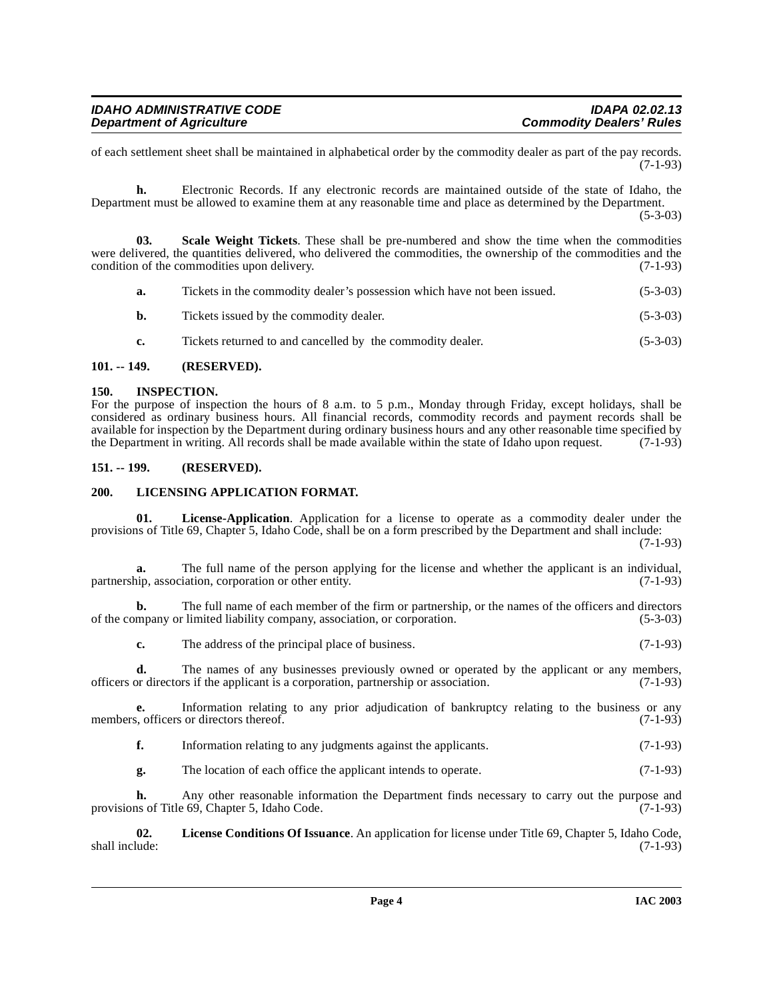| <b>IDAHO ADMINISTRATIVE CODE</b> | <b>IDAPA 02.02.13</b>           |
|----------------------------------|---------------------------------|
| <b>Department of Agriculture</b> | <b>Commodity Dealers' Rules</b> |

of each settlement sheet shall be maintained in alphabetical order by the commodity dealer as part of the pay records. (7-1-93)

**h.** Electronic Records. If any electronic records are maintained outside of the state of Idaho, the Department must be allowed to examine them at any reasonable time and place as determined by the Department.

(5-3-03)

**03. Scale Weight Tickets**. These shall be pre-numbered and show the time when the commodities were delivered, the quantities delivered, who delivered the commodities, the ownership of the commodities and the condition of the commodities upon delivery. (7-1-93)

<span id="page-3-8"></span>

| а.            | Tickets in the commodity dealer's possession which have not been issued. | $(5-3-03)$ |
|---------------|--------------------------------------------------------------------------|------------|
| b.            | Tickets issued by the commodity dealer.                                  | $(5-3-03)$ |
| $c_{\bullet}$ | Tickets returned to and cancelled by the commodity dealer.               | $(5-3-03)$ |

## <span id="page-3-0"></span>**101. -- 149. (RESERVED).**

## <span id="page-3-4"></span><span id="page-3-1"></span>**150. INSPECTION.**

For the purpose of inspection the hours of 8 a.m. to 5 p.m., Monday through Friday, except holidays, shall be considered as ordinary business hours. All financial records, commodity records and payment records shall be available for inspection by the Department during ordinary business hours and any other reasonable time specified by the Department in writing. All records shall be made available within the state of Idaho upon request. (7-1-93)

## <span id="page-3-2"></span>**151. -- 199. (RESERVED).**

## <span id="page-3-7"></span><span id="page-3-3"></span>**200. LICENSING APPLICATION FORMAT.**

<span id="page-3-6"></span>**01. License-Application**. Application for a license to operate as a commodity dealer under the provisions of Title 69, Chapter 5, Idaho Code, shall be on a form prescribed by the Department and shall include:

(7-1-93)

**a.** The full name of the person applying for the license and whether the applicant is an individual, inp, association, corporation or other entity. (7-1-93) partnership, association, corporation or other entity.

**b.** The full name of each member of the firm or partnership, or the names of the officers and directors mpany or limited liability company, association, or corporation. of the company or limited liability company, association, or corporation.

**c.** The address of the principal place of business. (7-1-93)

**d.** The names of any businesses previously owned or operated by the applicant or any members, officers or directors if the applicant is a corporation, partnership or association. (7-1-93)

**e.** Information relating to any prior adjudication of bankruptcy relating to the business or any s, officers or directors thereof. (7-1-93) members, officers or directors thereof.

- **f.** Information relating to any judgments against the applicants. (7-1-93)
- <span id="page-3-5"></span>**g.** The location of each office the applicant intends to operate. (7-1-93)

**h.** Any other reasonable information the Department finds necessary to carry out the purpose and provisions of Title 69, Chapter 5, Idaho Code. (7-1-93)

**02.** License Conditions Of Issuance. An application for license under Title 69, Chapter 5, Idaho Code, shall include: (7-1-93) shall include: (7-1-93)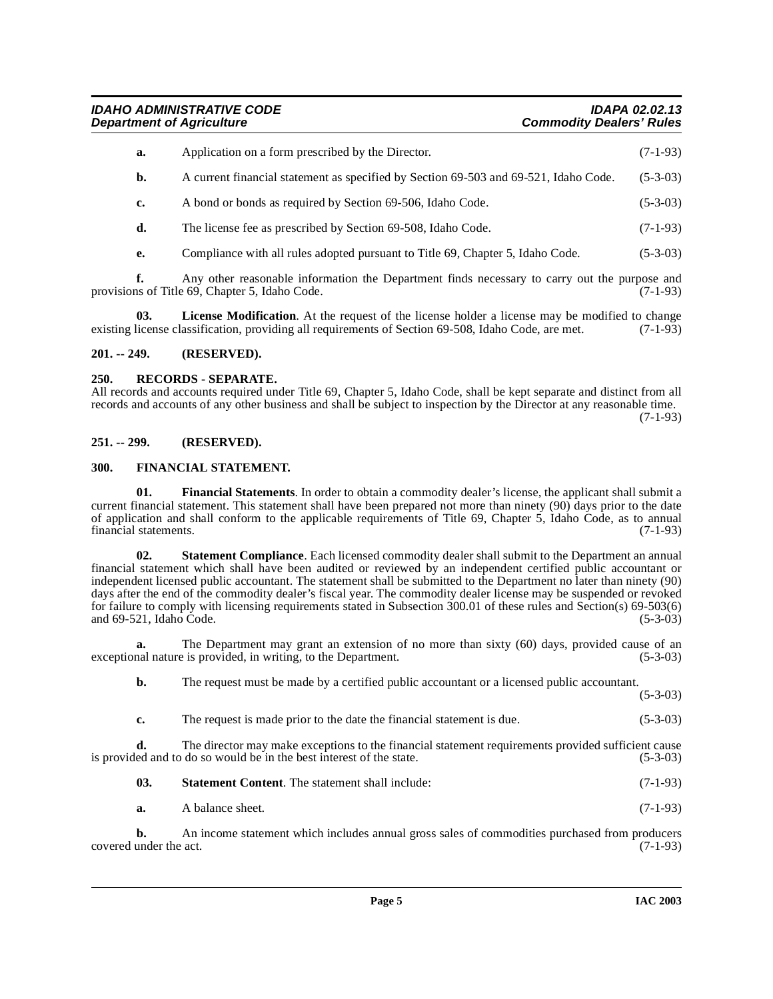**IDAHO ADMINISTRATIVE CODE IDAPA 02.02.13 Commodity Dealers' Rules** 

| a. | Application on a form prescribed by the Director.                                    | $(7-1-93)$ |
|----|--------------------------------------------------------------------------------------|------------|
| b. | A current financial statement as specified by Section 69-503 and 69-521, Idaho Code. | $(5-3-03)$ |
| c. | A bond or bonds as required by Section 69-506, Idaho Code.                           | $(5-3-03)$ |
| d. | The license fee as prescribed by Section 69-508, Idaho Code.                         | $(7-1-93)$ |
|    | Compliance with all rules adopted pursuant to Title 69, Chapter 5, Idaho Code.       | $(5-3-03)$ |

**f.** Any other reasonable information the Department finds necessary to carry out the purpose and provisions of Title 69, Chapter 5, Idaho Code. (7-1-93)

<span id="page-4-5"></span>**License Modification.** At the request of the license holder a license may be modified to change existing license classification, providing all requirements of Section 69-508, Idaho Code, are met. (7-1-93)

## <span id="page-4-0"></span>**201. -- 249. (RESERVED).**

#### <span id="page-4-6"></span><span id="page-4-1"></span>**250. RECORDS - SEPARATE.**

All records and accounts required under Title 69, Chapter 5, Idaho Code, shall be kept separate and distinct from all records and accounts of any other business and shall be subject to inspection by the Director at any reasonable time. (7-1-93)

#### <span id="page-4-2"></span>**251. -- 299. (RESERVED).**

#### <span id="page-4-4"></span><span id="page-4-3"></span>**300. FINANCIAL STATEMENT.**

**01. Financial Statements**. In order to obtain a commodity dealer's license, the applicant shall submit a current financial statement. This statement shall have been prepared not more than ninety (90) days prior to the date of application and shall conform to the applicable requirements of Title 69, Chapter 5, Idaho Code, as to annual financial statements.  $(7-1-93)$ financial statements.

<span id="page-4-7"></span>**02. Statement Compliance**. Each licensed commodity dealer shall submit to the Department an annual financial statement which shall have been audited or reviewed by an independent certified public accountant or independent licensed public accountant. The statement shall be submitted to the Department no later than ninety (90) days after the end of the commodity dealer's fiscal year. The commodity dealer license may be suspended or revoked for failure to comply with licensing requirements stated in Subsection 300.01 of these rules and Section(s) 69-503(6) and 69-521, Idaho Code.

**a.** The Department may grant an extension of no more than sixty (60) days, provided cause of an nal nature is provided, in writing, to the Department. (5-3-03) exceptional nature is provided, in writing, to the Department.

**b.** The request must be made by a certified public accountant or a licensed public accountant.

(5-3-03)

**c.** The request is made prior to the date the financial statement is due. (5-3-03)

**d.** The director may make exceptions to the financial statement requirements provided sufficient cause ed and to do so would be in the best interest of the state. (5-3-03) is provided and to do so would be in the best interest of the state.

| 03. | <b>Statement Content.</b> The statement shall include: | $(7-1-93)$ |
|-----|--------------------------------------------------------|------------|
|-----|--------------------------------------------------------|------------|

| a. | A balance sheet. | $(7-1-93)$ |
|----|------------------|------------|
|    |                  |            |

**b.** An income statement which includes annual gross sales of commodities purchased from producers under the act. (7-1-93) covered under the act.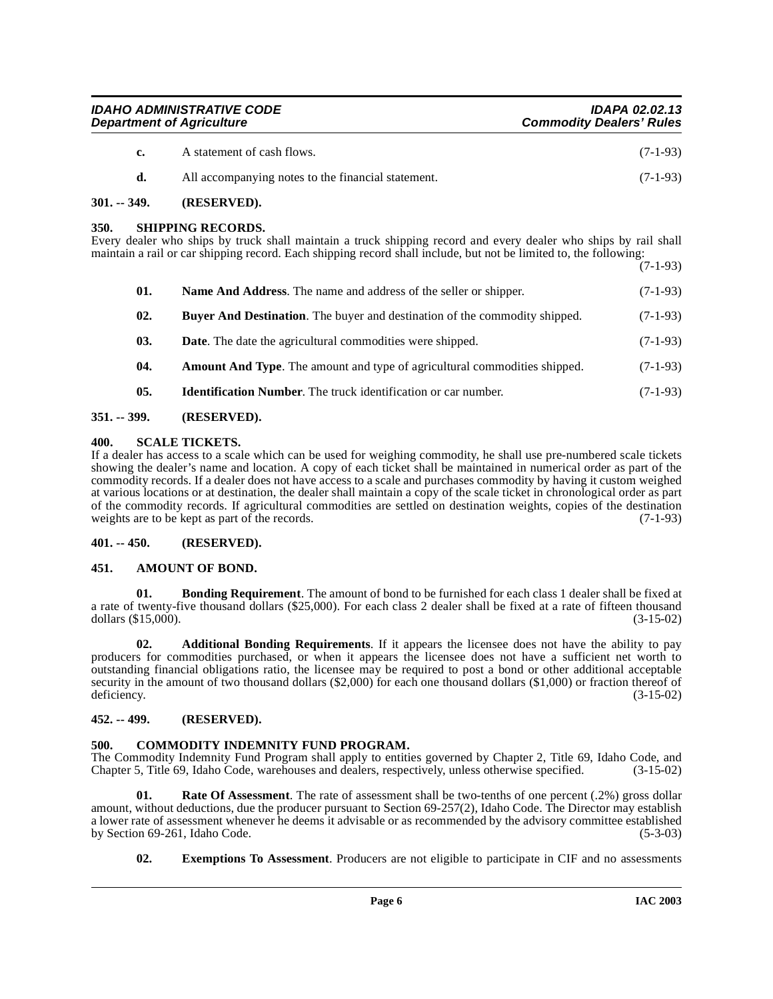| <b>IDAHO ADMINISTRATIVE CODE</b> | <b>IDAPA 02.02.13</b>           |
|----------------------------------|---------------------------------|
| <b>Department of Agriculture</b> | <b>Commodity Dealers' Rules</b> |

| $\mathbf{c}$ | A statement of cash flows.                         | $(7-1-93)$ |
|--------------|----------------------------------------------------|------------|
|              | All accompanying notes to the financial statement. | $(7-1-93)$ |

## <span id="page-5-0"></span>**301. -- 349. (RESERVED).**

#### <span id="page-5-15"></span><span id="page-5-1"></span>**350. SHIPPING RECORDS.**

Every dealer who ships by truck shall maintain a truck shipping record and every dealer who ships by rail shall maintain a rail or car shipping record. Each shipping record shall include, but not be limited to, the following: (7-1-93)

| 01. | Name And Address. The name and address of the seller or shipper.                  | $(7-1-93)$ |
|-----|-----------------------------------------------------------------------------------|------------|
| 02. | <b>Buyer And Destination.</b> The buyer and destination of the commodity shipped. | $(7-1-93)$ |
| 03. | <b>Date.</b> The date the agricultural commodities were shipped.                  | $(7-1-93)$ |
| 04. | <b>Amount And Type.</b> The amount and type of agricultural commodities shipped.  | $(7-1-93)$ |
| 05. | <b>Identification Number.</b> The truck identification or car number.             | $(7-1-93)$ |

## <span id="page-5-2"></span>**351. -- 399. (RESERVED).**

## <span id="page-5-14"></span><span id="page-5-3"></span>**400. SCALE TICKETS.**

If a dealer has access to a scale which can be used for weighing commodity, he shall use pre-numbered scale tickets showing the dealer's name and location. A copy of each ticket shall be maintained in numerical order as part of the commodity records. If a dealer does not have access to a scale and purchases commodity by having it custom weighed at various locations or at destination, the dealer shall maintain a copy of the scale ticket in chronological order as part of the commodity records. If agricultural commodities are settled on destination weights, copies of the destination weights are to be kept as part of the records. (7-1-93)

#### <span id="page-5-4"></span>**401. -- 450. (RESERVED).**

## <span id="page-5-9"></span><span id="page-5-5"></span>**451. AMOUNT OF BOND.**

<span id="page-5-10"></span>**01. Bonding Requirement**. The amount of bond to be furnished for each class 1 dealer shall be fixed at a rate of twenty-five thousand dollars (\$25,000). For each class 2 dealer shall be fixed at a rate of fifteen thousand dollars (\$15,000). (3-15-02) dollars  $(\$15,000)$ .

<span id="page-5-8"></span>**02. Additional Bonding Requirements**. If it appears the licensee does not have the ability to pay producers for commodities purchased, or when it appears the licensee does not have a sufficient net worth to outstanding financial obligations ratio, the licensee may be required to post a bond or other additional acceptable security in the amount of two thousand dollars (\$2,000) for each one thousand dollars (\$1,000) or fraction thereof of deficiency. (3-15-02)

## <span id="page-5-6"></span>**452. -- 499. (RESERVED).**

## <span id="page-5-11"></span><span id="page-5-7"></span>**500. COMMODITY INDEMNITY FUND PROGRAM.**

The Commodity Indemnity Fund Program shall apply to entities governed by Chapter 2, Title 69, Idaho Code, and Chapter 5, Title 69, Idaho Code, warehouses and dealers, respectively, unless otherwise specified. (3-15-02) Chapter 5, Title 69, Idaho Code, warehouses and dealers, respectively, unless otherwise specified.

**01.** Rate Of Assessment. The rate of assessment shall be two-tenths of one percent (.2%) gross dollar amount, without deductions, due the producer pursuant to Section 69-257(2), Idaho Code. The Director may establish a lower rate of assessment whenever he deems it advisable or as recommended by the advisory committee established<br>by Section 69-261, Idaho Code. (5-3-03) by Section 69-261, Idaho Code.

<span id="page-5-13"></span><span id="page-5-12"></span>**02. Exemptions To Assessment**. Producers are not eligible to participate in CIF and no assessments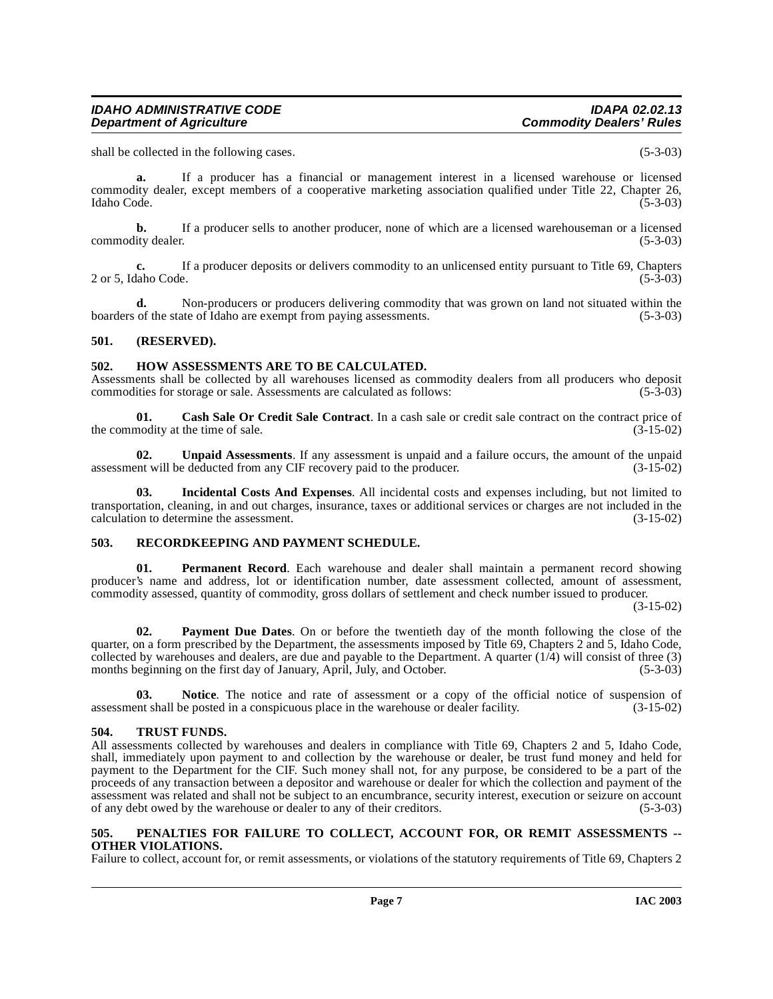shall be collected in the following cases. (5-3-03)

**a.** If a producer has a financial or management interest in a licensed warehouse or licensed commodity dealer, except members of a cooperative marketing association qualified under Title 22, Chapter 26,<br>Idaho Code. (5-3-03) Idaho Code. (5-3-03)

**b.** If a producer sells to another producer, none of which are a licensed warehouseman or a licensed ity dealer. (5-3-03) commodity dealer.

**c.** If a producer deposits or delivers commodity to an unlicensed entity pursuant to Title 69, Chapters 2 or 5, Idaho Code. (5-3-03)

**d.** Non-producers or producers delivering commodity that was grown on land not situated within the of the state of Idaho are exempt from paying assessments.  $(5-3-03)$ boarders of the state of Idaho are exempt from paying assessments.

#### <span id="page-6-0"></span>**501. (RESERVED).**

#### <span id="page-6-6"></span><span id="page-6-1"></span>**502. HOW ASSESSMENTS ARE TO BE CALCULATED.**

Assessments shall be collected by all warehouses licensed as commodity dealers from all producers who deposit commodities for storage or sale. Assessments are calculated as follows: (5-3-03)

<span id="page-6-5"></span>**01. Cash Sale Or Credit Sale Contract**. In a cash sale or credit sale contract on the contract price of nodity at the time of sale. (3-15-02) the commodity at the time of sale.

<span id="page-6-13"></span>**02. Unpaid Assessments**. If any assessment is unpaid and a failure occurs, the amount of the unpaid assessment will be deducted from any CIF recovery paid to the producer. (3-15-02)

<span id="page-6-7"></span>**03. Incidental Costs And Expenses**. All incidental costs and expenses including, but not limited to transportation, cleaning, in and out charges, insurance, taxes or additional services or charges are not included in the calculation to determine the assessment. (3-15-02)

## <span id="page-6-11"></span><span id="page-6-2"></span>**503. RECORDKEEPING AND PAYMENT SCHEDULE.**

<span id="page-6-10"></span>**01. Permanent Record**. Each warehouse and dealer shall maintain a permanent record showing producer's name and address, lot or identification number, date assessment collected, amount of assessment, commodity assessed, quantity of commodity, gross dollars of settlement and check number issued to producer.

(3-15-02)

<span id="page-6-8"></span>**02. Payment Due Dates**. On or before the twentieth day of the month following the close of the quarter, on a form prescribed by the Department, the assessments imposed by Title 69, Chapters 2 and 5, Idaho Code, collected by warehouses and dealers, are due and payable to the Department. A quarter  $(1/\hat{4})$  will consist of three  $(3)$ months beginning on the first day of January, April, July, and October. (5-3-03)

**03.** Notice. The notice and rate of assessment or a copy of the official notice of suspension of ent shall be posted in a conspicuous place in the warehouse or dealer facility. (3-15-02) assessment shall be posted in a conspicuous place in the warehouse or dealer facility.

## <span id="page-6-12"></span><span id="page-6-3"></span>**504. TRUST FUNDS.**

All assessments collected by warehouses and dealers in compliance with Title 69, Chapters 2 and 5, Idaho Code, shall, immediately upon payment to and collection by the warehouse or dealer, be trust fund money and held for payment to the Department for the CIF. Such money shall not, for any purpose, be considered to be a part of the proceeds of any transaction between a depositor and warehouse or dealer for which the collection and payment of the assessment was related and shall not be subject to an encumbrance, security interest, execution or seizure on account of any debt owed by the warehouse or dealer to any of their creditors. (5-3-03)

#### <span id="page-6-9"></span><span id="page-6-4"></span>**505. PENALTIES FOR FAILURE TO COLLECT, ACCOUNT FOR, OR REMIT ASSESSMENTS -- OTHER VIOLATIONS.**

Failure to collect, account for, or remit assessments, or violations of the statutory requirements of Title 69, Chapters 2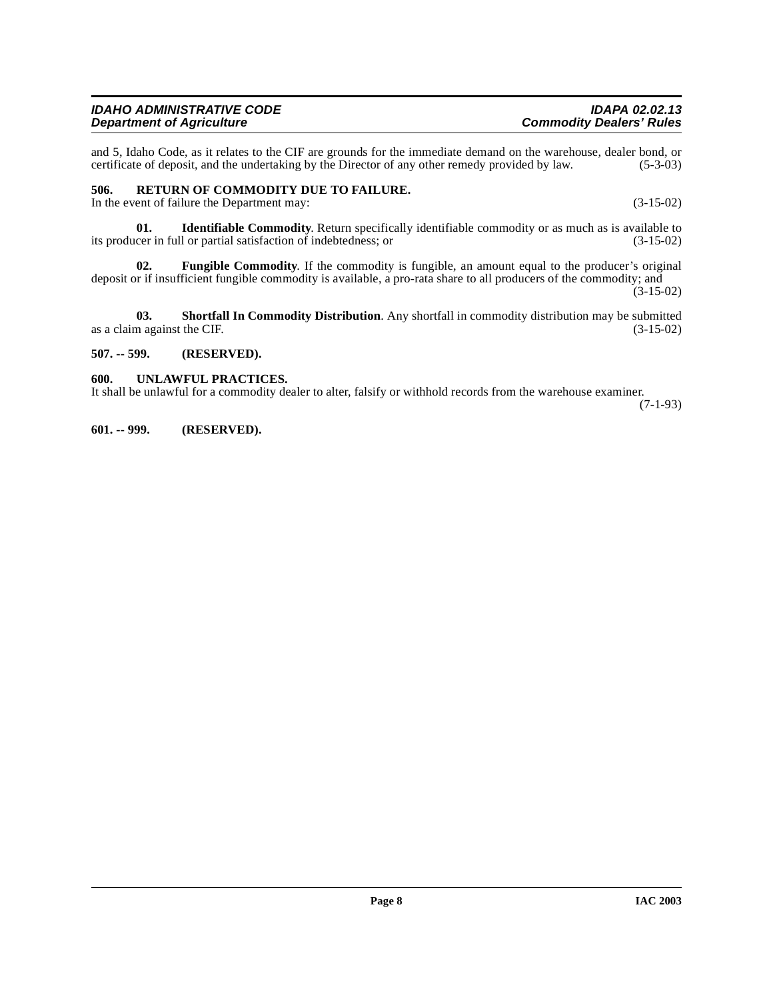and 5, Idaho Code, as it relates to the CIF are grounds for the immediate demand on the warehouse, dealer bond, or certificate of deposit, and the undertaking by the Director of any other remedy provided by law. (5-3-03) certificate of deposit, and the undertaking by the Director of any other remedy provided by law.

## <span id="page-7-4"></span><span id="page-7-0"></span>**506. RETURN OF COMMODITY DUE TO FAILURE.**

In the event of failure the Department may: (3-15-02)

**01. Identifiable Commodity**. Return specifically identifiable commodity or as much as is available to cer in full or partial satisfaction of indebtedness; or (3-15-02) its producer in full or partial satisfaction of indebtedness; or

**02. Fungible Commodity**. If the commodity is fungible, an amount equal to the producer's original deposit or if insufficient fungible commodity is available, a pro-rata share to all producers of the commodity; and

 $(3-15-02)$ 

**03. Shortfall In Commodity Distribution**. Any shortfall in commodity distribution may be submitted as a claim against the CIF. (3-15-02)

## <span id="page-7-1"></span>**507. -- 599. (RESERVED).**

#### <span id="page-7-5"></span><span id="page-7-2"></span>**600. UNLAWFUL PRACTICES.**

It shall be unlawful for a commodity dealer to alter, falsify or withhold records from the warehouse examiner. (7-1-93)

<span id="page-7-3"></span>**601. -- 999. (RESERVED).**